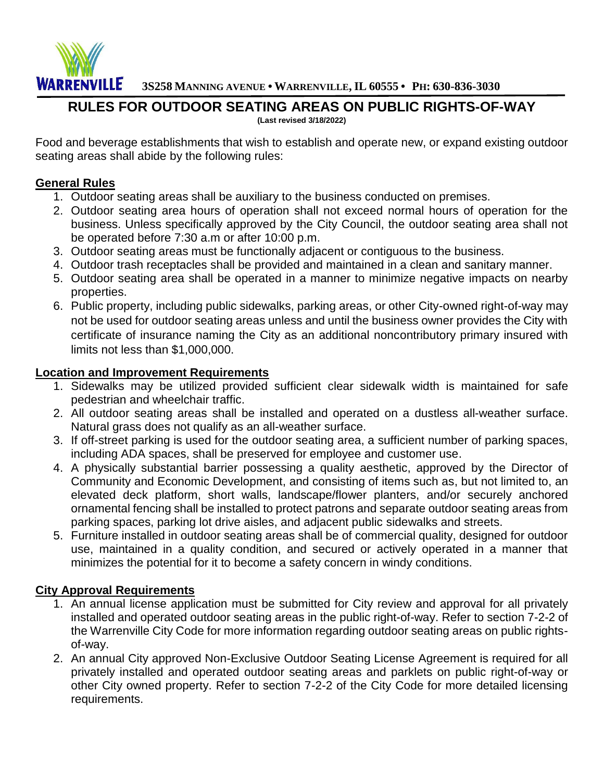

**3S258 MANNING AVENUE • WARRENVILLE, IL 60555 • PH: 630-836-3030** 

## **RULES FOR OUTDOOR SEATING AREAS ON PUBLIC RIGHTS-OF-WAY**

**(Last revised 3/18/2022)** 

Food and beverage establishments that wish to establish and operate new, or expand existing outdoor seating areas shall abide by the following rules:

#### **General Rules**

- 1. Outdoor seating areas shall be auxiliary to the business conducted on premises.
- 2. Outdoor seating area hours of operation shall not exceed normal hours of operation for the business. Unless specifically approved by the City Council, the outdoor seating area shall not be operated before 7:30 a.m or after 10:00 p.m.
- 3. Outdoor seating areas must be functionally adjacent or contiguous to the business.
- 4. Outdoor trash receptacles shall be provided and maintained in a clean and sanitary manner.
- 5. Outdoor seating area shall be operated in a manner to minimize negative impacts on nearby properties.
- 6. Public property, including public sidewalks, parking areas, or other City-owned right-of-way may not be used for outdoor seating areas unless and until the business owner provides the City with certificate of insurance naming the City as an additional noncontributory primary insured with limits not less than \$1,000,000.

#### **Location and Improvement Requirements**

- 1. Sidewalks may be utilized provided sufficient clear sidewalk width is maintained for safe pedestrian and wheelchair traffic.
- 2. All outdoor seating areas shall be installed and operated on a dustless all-weather surface. Natural grass does not qualify as an all-weather surface.
- 3. If off-street parking is used for the outdoor seating area, a sufficient number of parking spaces, including ADA spaces, shall be preserved for employee and customer use.
- 4. A physically substantial barrier possessing a quality aesthetic, approved by the Director of Community and Economic Development, and consisting of items such as, but not limited to, an elevated deck platform, short walls, landscape/flower planters, and/or securely anchored ornamental fencing shall be installed to protect patrons and separate outdoor seating areas from parking spaces, parking lot drive aisles, and adjacent public sidewalks and streets.
- 5. Furniture installed in outdoor seating areas shall be of commercial quality, designed for outdoor use, maintained in a quality condition, and secured or actively operated in a manner that minimizes the potential for it to become a safety concern in windy conditions.

### **City Approval Requirements**

- 1. An annual license application must be submitted for City review and approval for all privately installed and operated outdoor seating areas in the public right-of-way. Refer to section 7-2-2 of the Warrenville City Code for more information regarding outdoor seating areas on public rightsof-way.
- 2. An annual City approved Non-Exclusive Outdoor Seating License Agreement is required for all privately installed and operated outdoor seating areas and parklets on public right-of-way or other City owned property. Refer to section 7-2-2 of the City Code for more detailed licensing requirements.